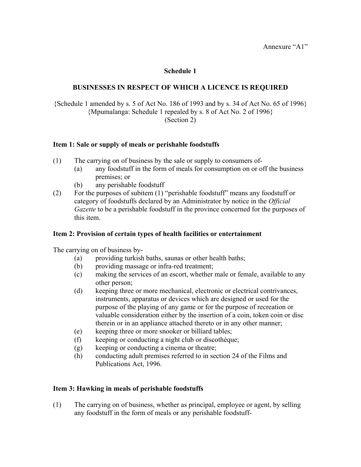Annexure "A1"

## **Schedule 1**

## **BUSINESSES IN RESPECT OF WHICH A LICENCE IS REQUIRED**

{Schedule 1 amended by s. 5 of Act No. 186 of 1993 and by s. 34 of Act No. 65 of 1996} {Mpumalanga: Schedule 1 repealed by s. 8 of Act No. 2 of 1996} (Section 2)

#### **Item 1: Sale or supply of meals or perishable foodstuffs**

- (1) The carrying on of business by the sale or supply to consumers of-
	- (a) any foodstuff in the form of meals for consumption on or off the business premises; or
	- (b) any perishable foodstuff
- (2) For the purposes of subitem  $(1)$  "perishable foodstuff" means any foodstuff or category of foodstuffs declared by an Administrator by notice in the *Official Gazette* to be a perishable foodstuff in the province concerned for the purposes of this item.

#### **Item 2: Provision of certain types of health facilities or entertainment**

The carrying on of business by-

- (a) providing turkish baths, saunas or other health baths;
- (b) providing massage or infra-red treatment;
- (c) making the services of an escort, whether male or female, available to any other person;
- (d) keeping three or more mechanical, electronic or electrical contrivances, instruments, apparatus or devices which are designed or used for the purpose of the playing of any game or for the purpose of recreation or valuable consideration either by the insertion of a coin, token coin or disc therein or in an appliance attached thereto or in any other manner;
- (e) keeping three or more snooker or billiard tables;
- (f) keeping or conducting a night club or discothèque;
- (g) keeping or conducting a cinema or theatre;
- (h) conducting adult premises referred to in section 24 of the Films and Publications Act, 1996.

#### **Item 3: Hawking in meals of perishable foodstuffs**

(1) The carrying on of business, whether as principal, employee or agent, by selling any foodstuff in the form of meals or any perishable foodstuff-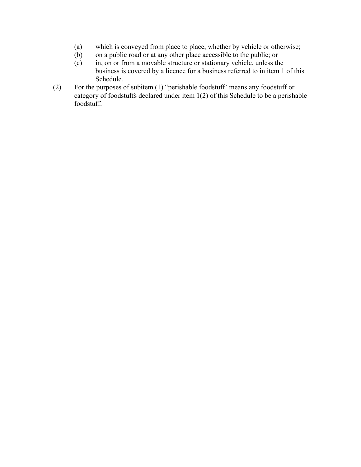- (a) which is conveyed from place to place, whether by vehicle or otherwise;
- (b) on a public road or at any other place accessible to the public; or
- (c) in, on or from a movable structure or stationary vehicle, unless the business is covered by a licence for a business referred to in item 1 of this Schedule.
- (2) For the purposes of subitem  $(1)$  "perishable foodstuff" means any foodstuff or category of foodstuffs declared under item 1(2) of this Schedule to be a perishable foodstuff.